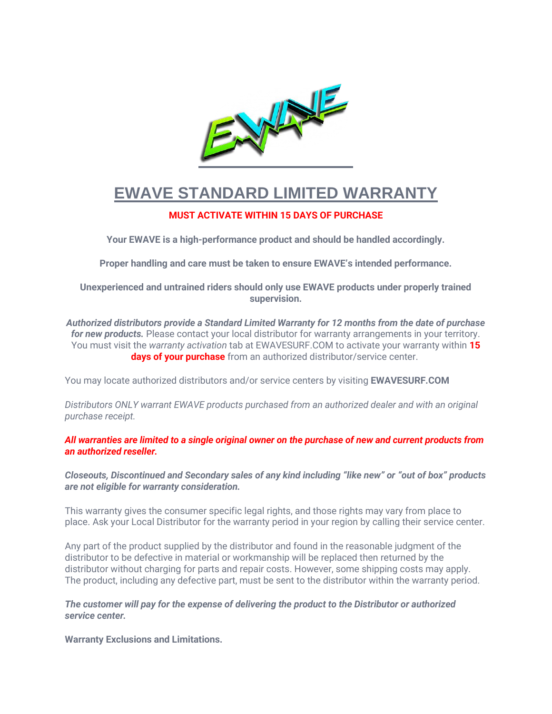

# **EWAVE STANDARD LIMITED WARRANTY**

# **MUST ACTIVATE WITHIN 15 DAYS OF PURCHASE**

**Your EWAVE is a high-performance product and should be handled accordingly.**

**Proper handling and care must be taken to ensure EWAVE's intended performance.**

**Unexperienced and untrained riders should only use EWAVE products under properly trained supervision.**

*Authorized distributors provide a Standard Limited Warranty for 12 months from the date of purchase for new products.* Please contact your local distributor for warranty arrangements in your territory. You must visit the *warranty activation* tab at EWAVESURF.COM to activate your warranty within **15 days of your purchase** from an authorized distributor/service center.

You may locate authorized distributors and/or service centers by visiting **EWAVESURF.COM**

*Distributors ONLY warrant EWAVE products purchased from an authorized dealer and with an original purchase receipt.*

*All warranties are limited to a single original owner on the purchase of new and current products from an authorized reseller.*

*Closeouts, Discontinued and Secondary sales of any kind including "like new" or "out of box" products are not eligible for warranty consideration.*

This warranty gives the consumer specific legal rights, and those rights may vary from place to place. Ask your Local Distributor for the warranty period in your region by calling their service center.

Any part of the product supplied by the distributor and found in the reasonable judgment of the distributor to be defective in material or workmanship will be replaced then returned by the distributor without charging for parts and repair costs. However, some shipping costs may apply. The product, including any defective part, must be sent to the distributor within the warranty period.

*The customer will pay for the expense of delivering the product to the Distributor or authorized service center.*

**Warranty Exclusions and Limitations.**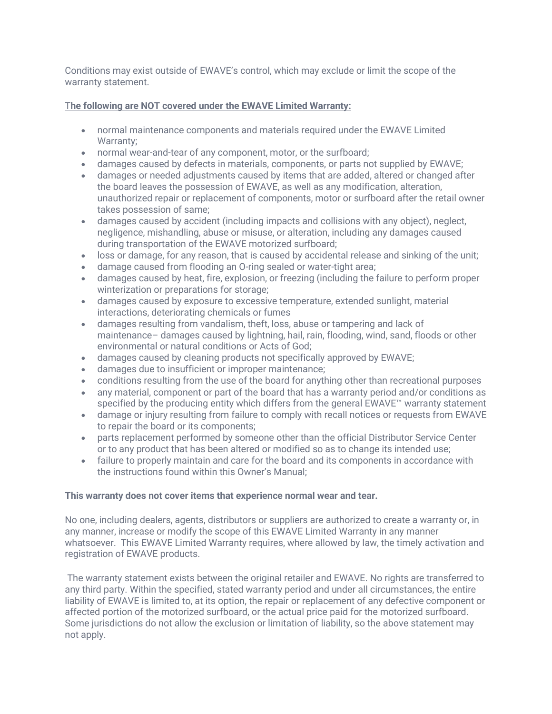Conditions may exist outside of EWAVE's control, which may exclude or limit the scope of the warranty statement.

# T**he following are NOT covered under the EWAVE Limited Warranty:**

- normal maintenance components and materials required under the EWAVE Limited Warranty:
- normal wear-and-tear of any component, motor, or the surfboard;
- damages caused by defects in materials, components, or parts not supplied by EWAVE;
- damages or needed adjustments caused by items that are added, altered or changed after the board leaves the possession of EWAVE, as well as any modification, alteration, unauthorized repair or replacement of components, motor or surfboard after the retail owner takes possession of same;
- damages caused by accident (including impacts and collisions with any object), neglect, negligence, mishandling, abuse or misuse, or alteration, including any damages caused during transportation of the EWAVE motorized surfboard;
- loss or damage, for any reason, that is caused by accidental release and sinking of the unit;
- damage caused from flooding an O-ring sealed or water-tight area;
- damages caused by heat, fire, explosion, or freezing (including the failure to perform proper winterization or preparations for storage;
- damages caused by exposure to excessive temperature, extended sunlight, material interactions, deteriorating chemicals or fumes
- damages resulting from vandalism, theft, loss, abuse or tampering and lack of maintenance– damages caused by lightning, hail, rain, flooding, wind, sand, floods or other environmental or natural conditions or Acts of God;
- damages caused by cleaning products not specifically approved by EWAVE;
- damages due to insufficient or improper maintenance;
- conditions resulting from the use of the board for anything other than recreational purposes
- any material, component or part of the board that has a warranty period and/or conditions as specified by the producing entity which differs from the general EWAVE™ warranty statement
- damage or injury resulting from failure to comply with recall notices or requests from EWAVE to repair the board or its components;
- parts replacement performed by someone other than the official Distributor Service Center or to any product that has been altered or modified so as to change its intended use;
- failure to properly maintain and care for the board and its components in accordance with the instructions found within this Owner's Manual;

# **This warranty does not cover items that experience normal wear and tear.**

No one, including dealers, agents, distributors or suppliers are authorized to create a warranty or, in any manner, increase or modify the scope of this EWAVE Limited Warranty in any manner whatsoever. This EWAVE Limited Warranty requires, where allowed by law, the timely activation and registration of EWAVE products.

The warranty statement exists between the original retailer and EWAVE. No rights are transferred to any third party. Within the specified, stated warranty period and under all circumstances, the entire liability of EWAVE is limited to, at its option, the repair or replacement of any defective component or affected portion of the motorized surfboard, or the actual price paid for the motorized surfboard. Some jurisdictions do not allow the exclusion or limitation of liability, so the above statement may not apply.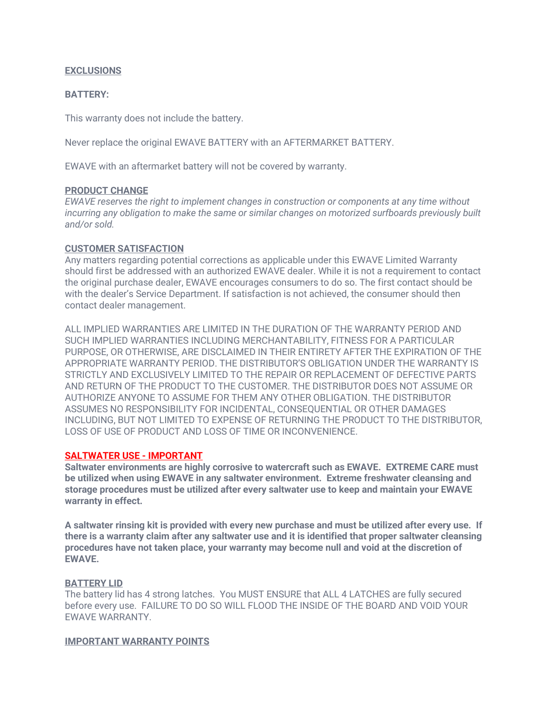## **EXCLUSIONS**

## **BATTERY:**

This warranty does not include the battery.

Never replace the original EWAVE BATTERY with an AFTERMARKET BATTERY.

EWAVE with an aftermarket battery will not be covered by warranty.

## **PRODUCT CHANGE**

*EWAVE reserves the right to implement changes in construction or components at any time without incurring any obligation to make the same or similar changes on motorized surfboards previously built and/or sold.*

# **CUSTOMER SATISFACTION**

Any matters regarding potential corrections as applicable under this EWAVE Limited Warranty should first be addressed with an authorized EWAVE dealer. While it is not a requirement to contact the original purchase dealer, EWAVE encourages consumers to do so. The first contact should be with the dealer's Service Department. If satisfaction is not achieved, the consumer should then contact dealer management.

ALL IMPLIED WARRANTIES ARE LIMITED IN THE DURATION OF THE WARRANTY PERIOD AND SUCH IMPLIED WARRANTIES INCLUDING MERCHANTABILITY, FITNESS FOR A PARTICULAR PURPOSE, OR OTHERWISE, ARE DISCLAIMED IN THEIR ENTIRETY AFTER THE EXPIRATION OF THE APPROPRIATE WARRANTY PERIOD. THE DISTRIBUTOR'S OBLIGATION UNDER THE WARRANTY IS STRICTLY AND EXCLUSIVELY LIMITED TO THE REPAIR OR REPLACEMENT OF DEFECTIVE PARTS AND RETURN OF THE PRODUCT TO THE CUSTOMER. THE DISTRIBUTOR DOES NOT ASSUME OR AUTHORIZE ANYONE TO ASSUME FOR THEM ANY OTHER OBLIGATION. THE DISTRIBUTOR ASSUMES NO RESPONSIBILITY FOR INCIDENTAL, CONSEQUENTIAL OR OTHER DAMAGES INCLUDING, BUT NOT LIMITED TO EXPENSE OF RETURNING THE PRODUCT TO THE DISTRIBUTOR, LOSS OF USE OF PRODUCT AND LOSS OF TIME OR INCONVENIENCE.

# **SALTWATER USE - IMPORTANT**

**Saltwater environments are highly corrosive to watercraft such as EWAVE. EXTREME CARE must be utilized when using EWAVE in any saltwater environment. Extreme freshwater cleansing and storage procedures must be utilized after every saltwater use to keep and maintain your EWAVE warranty in effect.**

**A saltwater rinsing kit is provided with every new purchase and must be utilized after every use. If there is a warranty claim after any saltwater use and it is identified that proper saltwater cleansing procedures have not taken place, your warranty may become null and void at the discretion of EWAVE.**

# **BATTERY LID**

The battery lid has 4 strong latches. You MUST ENSURE that ALL 4 LATCHES are fully secured before every use. FAILURE TO DO SO WILL FLOOD THE INSIDE OF THE BOARD AND VOID YOUR EWAVE WARRANTY.

## **IMPORTANT WARRANTY POINTS**